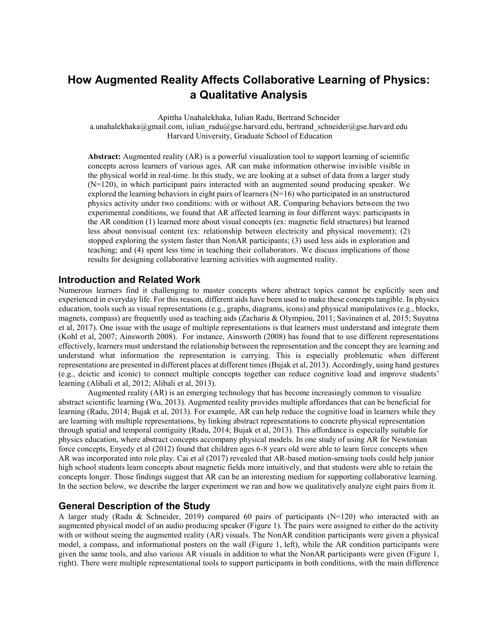# **How Augmented Reality Affects Collaborative Learning of Physics: a Qualitative Analysis**

Apittha Unahalekhaka, Iulian Radu, Bertrand Schneider

a.unahalekhaka@gmail.com, iulian\_radu@gse.harvard.edu, bertrand\_schneider@gse.harvard.edu Harvard University, Graduate School of Education

**Abstract:** Augmented reality (AR) is a powerful visualization tool to support learning of scientific concepts across learners of various ages. AR can make information otherwise invisible visible in the physical world in real-time. In this study, we are looking at a subset of data from a larger study (N=120), in which participant pairs interacted with an augmented sound producing speaker. We explored the learning behaviors in eight pairs of learners  $(N=16)$  who participated in an unstructured physics activity under two conditions: with or without AR. Comparing behaviors between the two experimental conditions, we found that AR affected learning in four different ways: participants in the AR condition (1) learned more about visual concepts (ex: magnetic field structures) but learned less about nonvisual content (ex: relationship between electricity and physical movement); (2) stopped exploring the system faster than NonAR participants; (3) used less aids in exploration and teaching; and (4) spent less time in teaching their collaborators. We discuss implications of those results for designing collaborative learning activities with augmented reality.

### **Introduction and Related Work**

Numerous learners find it challenging to master concepts where abstract topics cannot be explicitly seen and experienced in everyday life. For this reason, different aids have been used to make these concepts tangible. In physics education, tools such as visual representations (e.g., graphs, diagrams, icons) and physical manipulatives (e.g., blocks, magnets, compass) are frequently used as teaching aids (Zacharia & Olympiou, 2011; Savinainen et al, 2015; Suyatna et al, 2017). One issue with the usage of multiple representations is that learners must understand and integrate them (Kohl et al, 2007; Ainsworth 2008). For instance, Ainsworth (2008) has found that to use different representations effectively, learners must understand the relationship between the representation and the concept they are learning and understand what information the representation is carrying. This is especially problematic when different representations are presented in different places at different times (Bujak et al, 2013). Accordingly, using hand gestures (e.g., deictic and iconic) to connect multiple concepts together can reduce cognitive load and improve students' learning (Alibali et al, 2012; Alibali et al, 2013).

Augmented reality (AR) is an emerging technology that has become increasingly common to visualize abstract scientific learning (Wu, 2013). Augmented reality provides multiple affordances that can be beneficial for learning (Radu, 2014; Bujak et al, 2013). For example, AR can help reduce the cognitive load in learners while they are learning with multiple representations, by linking abstract representations to concrete physical representation through spatial and temporal contiguity (Radu, 2014; Bujak et al, 2013). This affordance is especially suitable for physics education, where abstract concepts accompany physical models. In one study of using AR for Newtonian force concepts, Enyedy et al (2012) found that children ages 6-8 years old were able to learn force concepts when AR was incorporated into role play. Cai et al (2017) revealed that AR-based motion-sensing tools could help junior high school students learn concepts about magnetic fields more intuitively, and that students were able to retain the concepts longer. Those findings suggest that AR can be an interesting medium for supporting collaborative learning. In the section below, we describe the larger experiment we ran and how we qualitatively analyze eight pairs from it.

## **General Description of the Study**

A larger study (Radu & Schneider, 2019) compared 60 pairs of participants ( $N=120$ ) who interacted with an augmented physical model of an audio producing speaker (Figure 1). The pairs were assigned to either do the activity with or without seeing the augmented reality (AR) visuals. The NonAR condition participants were given a physical model, a compass, and informational posters on the wall (Figure 1, left), while the AR condition participants were given the same tools, and also various AR visuals in addition to what the NonAR participants were given (Figure 1, right). There were multiple representational tools to support participants in both conditions, with the main difference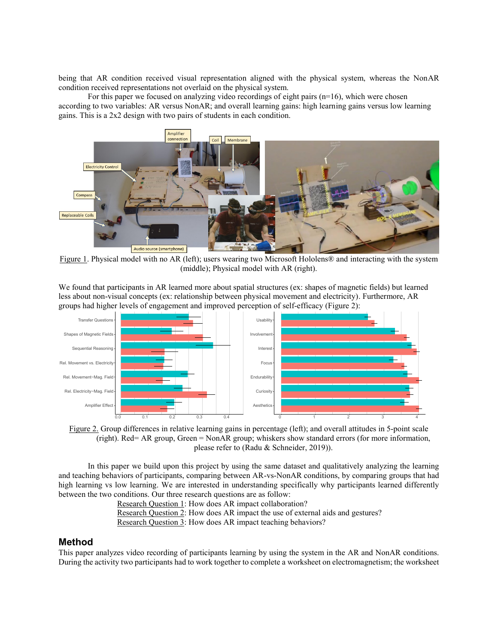being that AR condition received visual representation aligned with the physical system, whereas the NonAR condition received representations not overlaid on the physical system.

For this paper we focused on analyzing video recordings of eight pairs  $(n=16)$ , which were chosen according to two variables: AR versus NonAR; and overall learning gains: high learning gains versus low learning gains. This is a 2x2 design with two pairs of students in each condition.



Figure 1. Physical model with no AR (left); users wearing two Microsoft Hololens® and interacting with the system (middle); Physical model with AR (right).

We found that participants in AR learned more about spatial structures (ex: shapes of magnetic fields) but learned less about non-visual concepts (ex: relationship between physical movement and electricity). Furthermore, AR groups had higher levels of engagement and improved perception of self-efficacy (Figure 2):





In this paper we build upon this project by using the same dataset and qualitatively analyzing the learning and teaching behaviors of participants, comparing between AR-vs-NonAR conditions, by comparing groups that had high learning vs low learning. We are interested in understanding specifically why participants learned differently between the two conditions. Our three research questions are as follow:

Research Question 1: How does AR impact collaboration? Research Question 2: How does AR impact the use of external aids and gestures? Research Question 3: How does AR impact teaching behaviors?

## **Method**

This paper analyzes video recording of participants learning by using the system in the AR and NonAR conditions. During the activity two participants had to work together to complete a worksheet on electromagnetism; the worksheet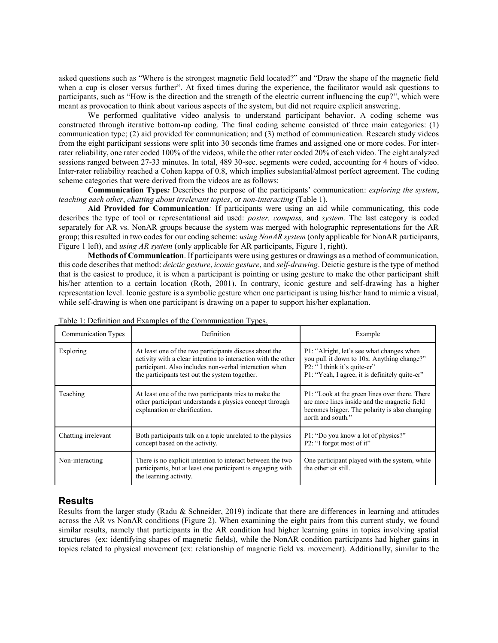asked questions such as "Where is the strongest magnetic field located?" and "Draw the shape of the magnetic field when a cup is closer versus further". At fixed times during the experience, the facilitator would ask questions to participants, such as "How is the direction and the strength of the electric current influencing the cup?", which were meant as provocation to think about various aspects of the system, but did not require explicit answering.

We performed qualitative video analysis to understand participant behavior. A coding scheme was constructed through iterative bottom-up coding. The final coding scheme consisted of three main categories: (1) communication type; (2) aid provided for communication; and (3) method of communication. Research study videos from the eight participant sessions were split into 30 seconds time frames and assigned one or more codes. For interrater reliability, one rater coded 100% of the videos, while the other rater coded 20% of each video. The eight analyzed sessions ranged between 27-33 minutes. In total, 489 30-sec. segments were coded, accounting for 4 hours of video. Inter-rater reliability reached a Cohen kappa of 0.8, which implies substantial/almost perfect agreement. The coding scheme categories that were derived from the videos are as follows:

**Communication Types***:* Describes the purpose of the participants' communication: *exploring the system*, *teaching each other*, *chatting about irrelevant topics*, or *non-interacting* (Table 1).

**Aid Provided for Communication***:* If participants were using an aid while communicating, this code describes the type of tool or representational aid used: *poster, compass,* and *system.* The last category is coded separately for AR vs. NonAR groups because the system was merged with holographic representations for the AR group; this resulted in two codes for our coding scheme: *using NonAR system* (only applicable for NonAR participants, Figure 1 left), and *using AR system* (only applicable for AR participants, Figure 1, right).

**Methods of Communication**. If participants were using gestures or drawings as a method of communication, this code describes that method: *deictic gesture*, *iconic gesture*, and *self-drawing*. Deictic gesture is the type of method that is the easiest to produce, it is when a participant is pointing or using gesture to make the other participant shift his/her attention to a certain location (Roth, 2001). In contrary, iconic gesture and self-drawing has a higher representation level. Iconic gesture is a symbolic gesture when one participant is using his/her hand to mimic a visual, while self-drawing is when one participant is drawing on a paper to support his/her explanation.

| <b>Communication Types</b> | <b>Definition</b>                                                                                                                                                                                                                   | Example                                                                                                                                                                  |  |
|----------------------------|-------------------------------------------------------------------------------------------------------------------------------------------------------------------------------------------------------------------------------------|--------------------------------------------------------------------------------------------------------------------------------------------------------------------------|--|
| Exploring                  | At least one of the two participants discuss about the<br>activity with a clear intention to interaction with the other<br>participant. Also includes non-verbal interaction when<br>the participants test out the system together. | P1: "Alright, let's see what changes when<br>you pull it down to 10x. Anything change?"<br>P2: "I think it's quite-er"<br>P1: "Yeah, I agree, it is definitely quite-er" |  |
| Teaching                   | At least one of the two participants tries to make the<br>other participant understands a physics concept through<br>explanation or clarification.                                                                                  | P1: "Look at the green lines over there. There<br>are more lines inside and the magnetic field<br>becomes bigger. The polarity is also changing<br>north and south."     |  |
| Chatting irrelevant        | Both participants talk on a topic unrelated to the physics<br>concept based on the activity.                                                                                                                                        | P1: "Do you know a lot of physics?"<br>P2: "I forgot most of it"                                                                                                         |  |
| Non-interacting            | There is no explicit intention to interact between the two<br>participants, but at least one participant is engaging with<br>the learning activity.                                                                                 | One participant played with the system, while<br>the other sit still.                                                                                                    |  |

# **Results**

Results from the larger study (Radu & Schneider, 2019) indicate that there are differences in learning and attitudes across the AR vs NonAR conditions (Figure 2). When examining the eight pairs from this current study, we found similar results, namely that participants in the AR condition had higher learning gains in topics involving spatial structures (ex: identifying shapes of magnetic fields), while the NonAR condition participants had higher gains in topics related to physical movement (ex: relationship of magnetic field vs. movement). Additionally, similar to the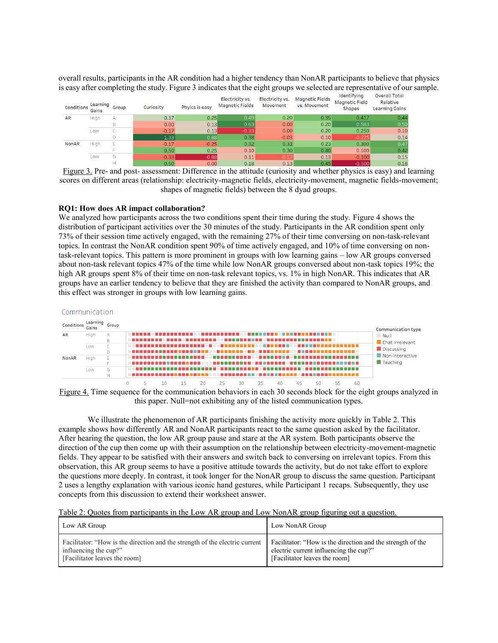overall results, participants in the AR condition had a higher tendency than NonAR participants to believe that physics is easy after completing the study. Figure 3 indicates that the eight groups we selected are representative of our sample.

| Conditions   | Learning<br>Gains | Group          | Curiosity | Phyics is easy | Electricity vs.<br><b>Magnetic Fields</b> | Electricity vs.<br>Movement | <b>Magnetic Fields</b><br>vs. Movement | ldentifying<br><b>Magnetic Field</b><br><b>Shapes</b> | Overall Total<br>Relative<br><b>Learning Gains</b> |
|--------------|-------------------|----------------|-----------|----------------|-------------------------------------------|-----------------------------|----------------------------------------|-------------------------------------------------------|----------------------------------------------------|
| <b>AR</b>    | High              | $\overline{A}$ | 0.17      | 0.25           | 0.49                                      | 0.20                        | 0.35                                   | 0.417                                                 | 0.44                                               |
|              |                   |                | 0.00      | 0.13           | 0.63                                      | 0.00                        | 0.20                                   | 0.583                                                 | 0.50                                               |
|              | Low               |                | $-0.17$   | 0.13           | $-0.33$                                   | 0.00                        | 0.20                                   | 0.250                                                 | 0.10                                               |
|              |                   |                | 1.33      | 0.88           | 0.38                                      | $-0.03$                     | 0.10                                   | $-0.225$                                              | 0.14                                               |
| <b>NonAR</b> | High              | Ε              | $-0.17$   | $-0.25$        | 0.32                                      | 0.33                        | 0.23                                   | 0.300                                                 | 0.47                                               |
|              |                   |                | 0.50      | 0.25           | 0.10                                      | 0.30                        | 0.40                                   | 0.100                                                 | 0.42                                               |
|              | Low               | G              | $-0.33$   | $-0.88$        | 0.11                                      | $-0.17$                     | 0.13                                   | $-0.100$                                              | 0.15                                               |
|              |                   |                | 0.50      | 0.00           | 0.18                                      | 013                         | 0.45                                   | LO 500                                                | 0.18                                               |

Figure 3. Pre- and post- assessment: Difference in the attitude (curiosity and whether physics is easy) and learning scores on different areas (relationship: electricity-magnetic fields, electricity-movement, magnetic fields-movement; shapes of magnetic fields) between the 8 dyad groups.

#### **RQ1: How does AR impact collaboration?**

We analyzed how participants across the two conditions spent their time during the study. Figure 4 shows the distribution of participant activities over the 30 minutes of the study. Participants in the AR condition spent only 73% of their session time actively engaged, with the remaining 27% of their time conversing on non-task-relevant topics. In contrast the NonAR condition spent 90% of time actively engaged, and 10% of time conversing on nontask-relevant topics. This pattern is more prominent in groups with low learning gains – low AR groups conversed about non-task relevant topics 47% of the time while low NonAR groups conversed about non-task topics 19%; the high AR groups spent 8% of their time on non-task relevant topics, vs. 1% in high NonAR. This indicates that AR groups have an earlier tendency to believe that they are finished the activity than compared to NonAR groups, and this effect was stronger in groups with low learning gains.



Figure 4. Time sequence for the communication behaviors in each 30 seconds block for the eight groups analyzed in this paper. Null=not exhibiting any of the listed communication types.

We illustrate the phenomenon of AR participants finishing the activity more quickly in Table 2. This example shows how differently AR and NonAR participants react to the same question asked by the facilitator. After hearing the question, the low AR group pause and stare at the AR system. Both participants observe the direction of the cup then come up with their assumption on the relationship between electricity-movement-magnetic fields. They appear to be satisfied with their answers and switch back to conversing on irrelevant topics. From this observation, this AR group seems to have a positive attitude towards the activity, but do not take effort to explore the questions more deeply. In contrast, it took longer for the NonAR group to discuss the same question. Participant 2 uses a lengthy explanation with various iconic hand gestures, while Participant 1 recaps. Subsequently, they use concepts from this discussion to extend their worksheet answer.

Table 2: Quotes from participants in the Low AR group and Low NonAR group figuring out a question.

| Low AR Group                                                                | Low NonAR Group                                            |
|-----------------------------------------------------------------------------|------------------------------------------------------------|
| Facilitator: "How is the direction and the strength of the electric current | Facilitator: "How is the direction and the strength of the |
| influencing the cup?"                                                       | electric current influencing the cup?"                     |
| [Facilitator leaves the room]                                               | [Facilitator leaves the room]                              |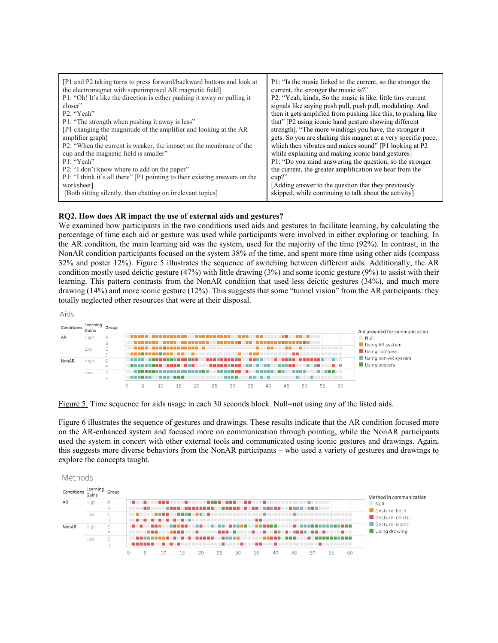### **RQ2. How does AR impact the use of external aids and gestures?**

We examined how participants in the two conditions used aids and gestures to facilitate learning, by calculating the percentage of time each aid or gesture was used while participants were involved in either exploring or teaching. In the AR condition, the main learning aid was the system, used for the majority of the time (92%). In contrast, in the NonAR condition participants focused on the system 38% of the time, and spent more time using other aids (compass 32% and poster 12%). Figure 5 illustrates the sequence of switching between different aids. Additionally, the AR condition mostly used deictic gesture (47%) with little drawing (3%) and some iconic gesture (9%) to assist with their learning. This pattern contrasts from the NonAR condition that used less deictic gestures (34%), and much more drawing (14%) and more iconic gesture (12%). This suggests that some "tunnel vision" from the AR participants: they totally neglected other resources that were at their disposal.

Aids



Figure 5. Time sequence for aids usage in each 30 seconds block. Null=not using any of the listed aids.

Figure 6 illustrates the sequence of gestures and drawings. These results indicate that the AR condition focused more on the AR-enhanced system and focused more on communication through pointing, while the NonAR participants used the system in concert with other external tools and communicated using iconic gestures and drawings. Again, this suggests more diverse behaviors from the NonAR participants – who used a variety of gestures and drawings to explore the concepts taught.

#### Methods

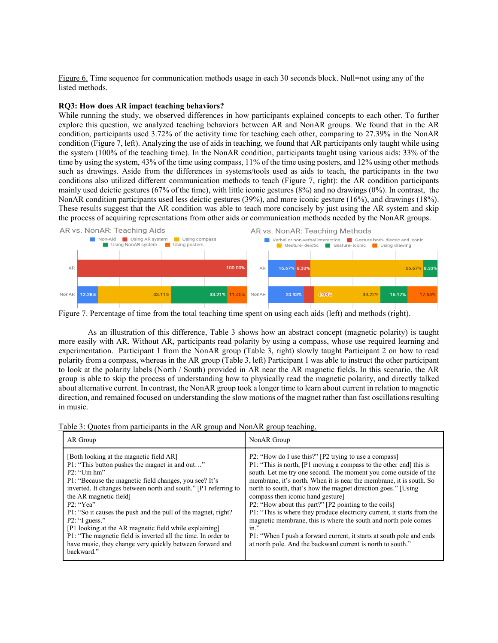Figure 6. Time sequence for communication methods usage in each 30 seconds block. Null=not using any of the listed methods.

### **RQ3: How does AR impact teaching behaviors?**

While running the study, we observed differences in how participants explained concepts to each other. To further explore this question, we analyzed teaching behaviors between AR and NonAR groups. We found that in the AR condition, participants used 3.72% of the activity time for teaching each other, comparing to 27.39% in the NonAR condition (Figure 7, left). Analyzing the use of aids in teaching, we found that AR participants only taught while using the system (100% of the teaching time). In the NonAR condition, participants taught using various aids: 33% of the time by using the system, 43% of the time using compass, 11% of the time using posters, and 12% using other methods such as drawings. Aside from the differences in systems/tools used as aids to teach, the participants in the two conditions also utilized different communication methods to teach (Figure 7, right): the AR condition participants mainly used deictic gestures (67% of the time), with little iconic gestures (8%) and no drawings (0%). In contrast, the NonAR condition participants used less deictic gestures (39%), and more iconic gesture (16%), and drawings (18%). These results suggest that the AR condition was able to teach more concisely by just using the AR system and skip the process of acquiring representations from other aids or communication methods needed by the NonAR groups.



Figure 7. Percentage of time from the total teaching time spent on using each aids (left) and methods (right).

As an illustration of this difference, Table 3 shows how an abstract concept (magnetic polarity) is taught more easily with AR. Without AR, participants read polarity by using a compass, whose use required learning and experimentation. Participant 1 from the NonAR group (Table 3, right) slowly taught Participant 2 on how to read polarity from a compass, whereas in the AR group (Table 3, left) Participant 1 was able to instruct the other participant to look at the polarity labels (North / South) provided in AR near the AR magnetic fields. In this scenario, the AR group is able to skip the process of understanding how to physically read the magnetic polarity, and directly talked about alternative current. In contrast, the NonAR group took a longer time to learn about current in relation to magnetic direction, and remained focused on understanding the slow motions of the magnet rather than fast oscillations resulting in music.

| Table 3: Quotes from participants in the AR group and NonAR group teaching. |  |  |
|-----------------------------------------------------------------------------|--|--|
|                                                                             |  |  |

| AR Group                                                                                                                                                                                                                                                                                                                                                                                                                                                                                                                                                                   | NonAR Group                                                                                                                                                                                                                                                                                                                                                                                                                                                                                                                                                                                                                                                                                                                            |
|----------------------------------------------------------------------------------------------------------------------------------------------------------------------------------------------------------------------------------------------------------------------------------------------------------------------------------------------------------------------------------------------------------------------------------------------------------------------------------------------------------------------------------------------------------------------------|----------------------------------------------------------------------------------------------------------------------------------------------------------------------------------------------------------------------------------------------------------------------------------------------------------------------------------------------------------------------------------------------------------------------------------------------------------------------------------------------------------------------------------------------------------------------------------------------------------------------------------------------------------------------------------------------------------------------------------------|
| [Both looking at the magnetic field AR]<br>P1: "This button pushes the magnet in and out"<br>$P2$ : "Um hm"<br>P1: "Because the magnetic field changes, you see? It's<br>inverted. It changes between north and south." [P1 referring to<br>the AR magnetic field]<br>P2: "Yea"<br>P1: "So it causes the push and the pull of the magnet, right?<br>$P2$ : "I guess."<br>[P1 looking at the AR magnetic field while explaining]<br>P1: "The magnetic field is inverted all the time. In order to<br>have music, they change very quickly between forward and<br>backward." | P2: "How do I use this?" [P2 trying to use a compass]<br>P1: "This is north, [P1 moving a compass to the other end] this is<br>south. Let me try one second. The moment you come outside of the<br>membrane, it's north. When it is near the membrane, it is south. So<br>north to south, that's how the magnet direction goes." [Using]<br>compass then iconic hand gesture]<br>P2: "How about this part?" [P2 pointing to the coils]<br>P1: "This is where they produce electricity current, it starts from the<br>magnetic membrane, this is where the south and north pole comes<br>$in.$ "<br>P1: "When I push a forward current, it starts at south pole and ends<br>at north pole. And the backward current is north to south." |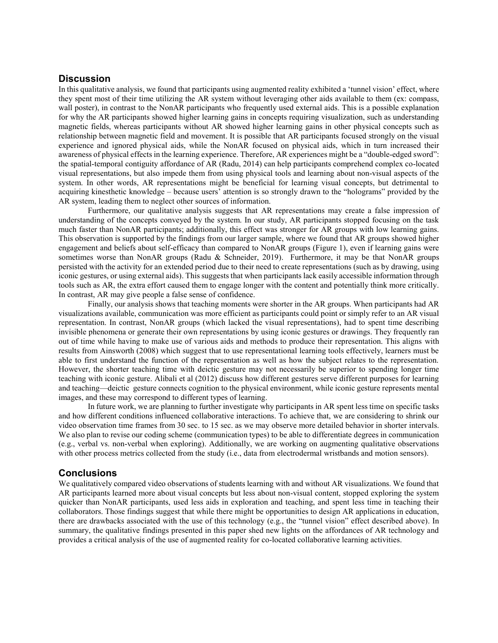## **Discussion**

In this qualitative analysis, we found that participants using augmented reality exhibited a 'tunnel vision' effect, where they spent most of their time utilizing the AR system without leveraging other aids available to them (ex: compass, wall poster), in contrast to the NonAR participants who frequently used external aids. This is a possible explanation for why the AR participants showed higher learning gains in concepts requiring visualization, such as understanding magnetic fields, whereas participants without AR showed higher learning gains in other physical concepts such as relationship between magnetic field and movement. It is possible that AR participants focused strongly on the visual experience and ignored physical aids, while the NonAR focused on physical aids, which in turn increased their awareness of physical effects in the learning experience. Therefore, AR experiences might be a "double-edged sword": the spatial-temporal contiguity affordance of AR (Radu, 2014) can help participants comprehend complex co-located visual representations, but also impede them from using physical tools and learning about non-visual aspects of the system. In other words, AR representations might be beneficial for learning visual concepts, but detrimental to acquiring kinesthetic knowledge – because users' attention is so strongly drawn to the "holograms" provided by the AR system, leading them to neglect other sources of information.

Furthermore, our qualitative analysis suggests that AR representations may create a false impression of understanding of the concepts conveyed by the system. In our study, AR participants stopped focusing on the task much faster than NonAR participants; additionally, this effect was stronger for AR groups with low learning gains. This observation is supported by the findings from our larger sample, where we found that AR groups showed higher engagement and beliefs about self-efficacy than compared to NonAR groups (Figure 1), even if learning gains were sometimes worse than NonAR groups (Radu & Schneider, 2019). Furthermore, it may be that NonAR groups persisted with the activity for an extended period due to their need to create representations (such as by drawing, using iconic gestures, or using external aids). This suggests that when participants lack easily accessible information through tools such as AR, the extra effort caused them to engage longer with the content and potentially think more critically. In contrast, AR may give people a false sense of confidence.

Finally, our analysis shows that teaching moments were shorter in the AR groups. When participants had AR visualizations available, communication was more efficient as participants could point or simply refer to an AR visual representation. In contrast, NonAR groups (which lacked the visual representations), had to spent time describing invisible phenomena or generate their own representations by using iconic gestures or drawings. They frequently ran out of time while having to make use of various aids and methods to produce their representation. This aligns with results from Ainsworth (2008) which suggest that to use representational learning tools effectively, learners must be able to first understand the function of the representation as well as how the subject relates to the representation. However, the shorter teaching time with deictic gesture may not necessarily be superior to spending longer time teaching with iconic gesture. Alibali et al (2012) discuss how different gestures serve different purposes for learning and teaching—deictic gesture connects cognition to the physical environment, while iconic gesture represents mental images, and these may correspond to different types of learning.

In future work, we are planning to further investigate why participants in AR spent less time on specific tasks and how different conditions influenced collaborative interactions. To achieve that, we are considering to shrink our video observation time frames from 30 sec. to 15 sec. as we may observe more detailed behavior in shorter intervals. We also plan to revise our coding scheme (communication types) to be able to differentiate degrees in communication (e.g., verbal vs. non-verbal when exploring). Additionally, we are working on augmenting qualitative observations with other process metrics collected from the study (i.e., data from electrodermal wristbands and motion sensors).

### **Conclusions**

We qualitatively compared video observations of students learning with and without AR visualizations. We found that AR participants learned more about visual concepts but less about non-visual content, stopped exploring the system quicker than NonAR participants, used less aids in exploration and teaching, and spent less time in teaching their collaborators. Those findings suggest that while there might be opportunities to design AR applications in education, there are drawbacks associated with the use of this technology (e.g., the "tunnel vision" effect described above). In summary, the qualitative findings presented in this paper shed new lights on the affordances of AR technology and provides a critical analysis of the use of augmented reality for co-located collaborative learning activities.